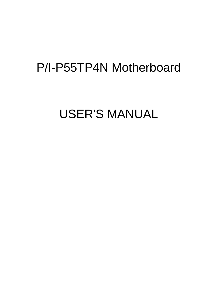# P/I-P55TP4N Motherboard

# USER'S MANUAL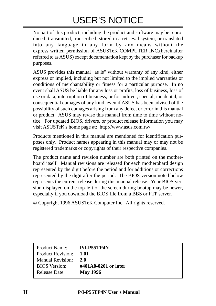# USER'S NOTICE

No part of this product, including the product and software may be reproduced, transmitted, transcribed, stored in a retrieval system, or translated into any language in any form by any means without the express written permission of ASUSTeK COMPUTER INC.(hereinafter referred to as ASUS) except documentation kept by the purchaser for backup purposes.

ASUS provides this manual "as is" without warranty of any kind, either express or implied, including but not limited to the implied warranties or conditions of merchantability or fitness for a particular purpose. In no event shall ASUS be liable for any loss or profits, loss of business, loss of use or data, interruption of business, or for indirect, special, incidental, or consequential damages of any kind, even if ASUS has been advised of the possibility of such damages arising from any defect or error in this manual or product. ASUS may revise this manual from time to time without notice. For updated BIOS, drivers, or product release information you may visit ASUSTeK's home page at: http://www.asus.com.tw/

Products mentioned in this manual are mentioned for identification purposes only. Product names appearing in this manual may or may not be registered trademarks or copyrights of their respective companies.

The product name and revision number are both printed on the motherboard itself. Manual revisions are released for each motherobard design represented by the digit before the period and for additions or corrections represented by the digit after the period. The BIOS version noted below represents the current release during this manual release. Your BIOS version displayed on the top-left of the screen during bootup may be newer, especially if you download the BIOS file from a BBS or FTP server.

© Copyright 1996 ASUSTeK Computer Inc. All rights reserved.

| <b>Product Name:</b>     | <b>P/I-P55TP4N</b>      |
|--------------------------|-------------------------|
| <b>Product Revision:</b> | 1.01                    |
| <b>Manual Revision:</b>  | <b>2.0</b>              |
| <b>BIOS</b> Version:     | $\#401A0-0201$ or later |
| <b>Release Date:</b>     | <b>May 1996</b>         |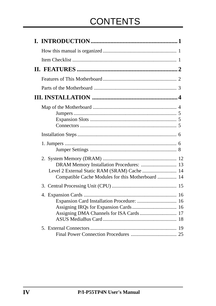# **CONTENTS**

| DRAM Memory Installation Procedures:  13<br>Compatible Cache Modules for this Motherboard  14 |  |
|-----------------------------------------------------------------------------------------------|--|
|                                                                                               |  |
| Assigning DMA Channels for ISA Cards  17                                                      |  |
|                                                                                               |  |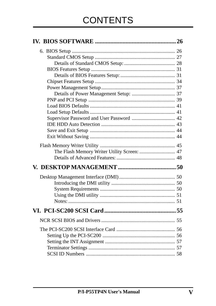| The Flash Memory Writer Utility Screen:  47 |  |
|---------------------------------------------|--|
|                                             |  |
|                                             |  |
|                                             |  |
|                                             |  |
|                                             |  |
|                                             |  |
| Notes:                                      |  |
|                                             |  |
|                                             |  |
|                                             |  |
|                                             |  |
|                                             |  |
|                                             |  |
|                                             |  |
|                                             |  |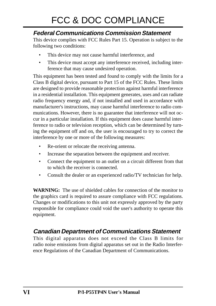# FCC & DOC COMPLIANCE

### **Federal Communications Commission Statement**

This device complies with FCC Rules Part 15. Operation is subject to the following two conditions:

- This device may not cause harmful interference, and
- This device must accept any interference received, including interference that may cause undesired operation.

This equipment has been tested and found to comply with the limits for a Class B digital device, pursuant to Part 15 of the FCC Rules. These limits are designed to provide reasonable protection against harmful interference in a residential installation. This equipment generates, uses and can radiate radio frequency energy and, if not installed and used in accordance with manufacturer's instructions, may cause harmful interference to radio communications. However, there is no guarantee that interference will not occur in a particular installation. If this equipment does cause harmful interference to radio or television reception, which can be determined by turning the equipment off and on, the user is encouraged to try to correct the interference by one or more of the following measures:

- Re-orient or relocate the receiving antenna.
- Increase the separation between the equipment and receiver.
- Connect the equipment to an outlet on a circuit different from that to which the receiver is connected.
- Consult the dealer or an experienced radio/TV technician for help.

**WARNING:** The use of shielded cables for connection of the monitor to the graphics card is required to assure compliance with FCC regulations. Changes or modifications to this unit not expressly approved by the party responsible for compliance could void the user's authority to operate this equipment.

### **Canadian Department of Communications Statement**

This digital apparatus does not exceed the Class B limits for radio noise emissions from digital apparatus set out in the Radio Interference Regulations of the Canadian Department of Communications.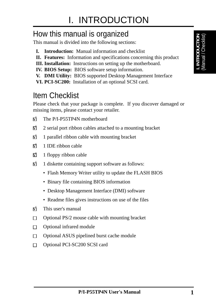## How this manual is organized

This manual is divided into the following sections:

- **I. Introduction:** Manual information and checklist
- **II. Features:** Information and specifications concerning this product
- **III. Installation:** Instructions on setting up the motherboard.
- **IV. BIOS Setup:** BIOS software setup information.
- **V. DMI Utility:** BIOS supported Desktop Management Interface
- **VI. PCI-SC200:** Installation of an optional SCSI card.

# Item Checklist

Please check that your package is complete. If you discover damaged or missing items, please contact your retailer.

- √ The P/I-P55TP4N motherboard
- $\Box$  2 serial port ribbon cables attached to a mounting bracket
- $\Box$  1 parallel ribbon cable with mounting bracket
- $\overline{M}$  1 IDE ribbon cable
- $\overrightarrow{v}$  1 floppy ribbon cable
- $\overrightarrow{v}$  1 diskette containing support software as follows:
	- Flash Memory Writer utility to update the FLASH BIOS
	- Binary file containing BIOS information
	- Desktop Management Interface (DMI) software
	- Readme files gives instructions on use of the files
- $\overline{M}$  This user's manual
- $\Box$ Optional PS/2 mouse cable with mounting bracket
- Optional infrared module  $\Box$
- Optional ASUS pipelined burst cache module  $\Box$
- Optional PCI-SC200 SCSI card $\Box$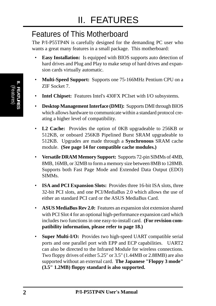# Features of This Motherboard

The P/I-P55TP4N is carefully designed for the demanding PC user who wants a great many features in a small package. This motherboard:

- **Easy Installation:** Is equipped with BIOS supports auto detection of hard drives and Plug and Play to make setup of hard drives and expansion cards virtually automatic.
- **Multi-Speed Support:** Supports one 75-166MHz Pentium CPU on a ZIF Socket 7.
- **Intel Chipset:** Features Intel's 430FX PCIset with I/O subsystems.
- **Desktop Management Interface (DMI):** Supports DMI through BIOS which allows hardware to communicate within a standard protocol creating a higher level of compatibility.
- **L2 Cache:** Provides the option of 0KB upgradeable to 256KB or 512KB, or onboard 256KB Pipelined Burst SRAM upgradeable to 512KB. Upgrades are made through a **Synchronous** SRAM cache module. **(See page 14 for compatible cache modules.)**
- **Versatile DRAM Memory Support:** Supports 72-pin SIMMs of 4MB, 8MB, 16MB, or 32MB to form a memory size between 8MB to 128MB. Supports both Fast Page Mode and Extended Data Output (EDO) SIMMs.
- **ISA and PCI Expansion Slots:** Provides three 16-bit ISA slots, three 32-bit PCI slots, and one PCI/MediaBus 2.0 which allows the use of either an standard PCI card or the ASUS MediaBus Card.
- **ASUS MediaBus Rev 2.0:** Features an expansion slot extension shared with PCI Slot 4 for an optional high-performance expansion card which includes two functions in one easy-to-install card. **(For revision compatibility information, please refer to page 18.)**
- **Super Multi-I/O:** Provides two high-speed UART compatible serial ports and one parallel port with EPP and ECP capabilities. UART2 can also be directed to the Infrared Module for wireless connections. Two floppy drives of either 5.25" or 3.5" (1.44MB or 2.88MB) are also supported without an external card. **The Japanese "Floppy 3 mode" (3.5" 1.2MB) floppy standard is also supported.**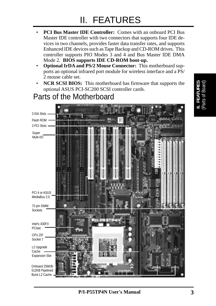# II. FEATURES

- **PCI Bus Master IDE Controller:** Comes with an onboard PCI Bus Master IDE controller with two connectors that supports four IDE devices in two channels, provides faster data transfer rates, and supports Enhanced IDE devices such as Tape Backup and CD-ROM drives. This controller supports PIO Modes 3 and 4 and Bus Master IDE DMA Mode 2. **BIOS supports IDE CD-ROM boot-up.**
- **Optional IrDA and PS/2 Mouse Connector:** This motherboard supports an optional infrared port module for wireless interface and a PS/ 2 mouse cable set.
- **NCR SCSI BIOS:** This motherboard has firmware that supports the optional ASUS PCI-SC200 SCSI controller cards.

# Parts of the Motherboard

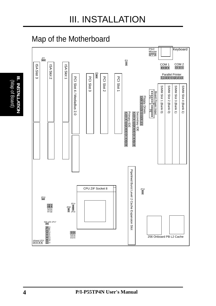## Map of the Motherboard

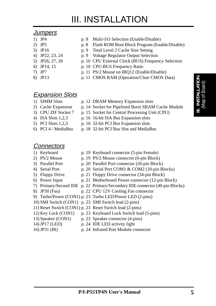# III. INSTALLATION

#### **Jumpers**

- 
- 
- 
- 
- 
- 
- 
- 1) JP4 p. 8 Multi-I/O Selection (Enable/Disable)
- 2) JP5 p. 8 Flash ROM Boot Block Program (Enable/Disable)
- 3) JP16 p. 9 Total Level 2 Cache Size Setting
- 4) JP22, 23, 24 p. 9 Voltage Regulator Output Selection
- 5) JP26, 27, 28 p. 10 CPU External Clock (BUS) Frequency Selection
- 6) JP14, 15 p. 10 CPU:BUS Frequency Ratio
- 7) JP7 p. 11 PS/2 Mouse on IRQ12 (Enable/Disable)
- 8) JP13 p. 11 CMOS RAM (Operation/Clear CMOS Data)

### **Expansion Slots**

- 
- 1) SIMM Slots p. 12 DRAM Memory Expansion slots
- 2) Cache Expansion p. 14 Socket for Pipelined Burst SRAM Cache Module
- 3) CPU ZIF Socket 7 p. 15 Socket for Central Processing Unit (CPU)
- 4) ISA Slots 1,2,3 p. 16 16-bit ISA Bus Expansion slots
- 5) PCI Slots 1,2,3 p. 16 32-bit PCI Bus Expansion slots
- 6) PCI 4 / MediaBus p. 18 32-bit PCI Bus Slot and MediaBus

### **Connectors**

- 
- 1) Keyboard p. 19 Keyboard connector (5-pin Female)
- 2) PS/2 Mouse p. 19 PS/2 Mouse connector (6-pin Block)
- 3) Parallel Port p. 20 Parallel Port connector (26-pin Block)
- 4) Serial Port p. 20 Serial Port COM1 & COM2 (10-pin Blocks)
- 5) Floppy Drive p. 21 Floppy Drive connector (34-pin Block)
- 6) Power Input p. 21 Motherboard Power connector (12-pin Block)
- 7) Primary/Second IDE p. 22 Primary/Secondary IDE connector (40-pin Blocks)
- 8) JP30 (Fan) p. 22 CPU 12V Cooling Fan connector
- 9) Turbo/Power (CON1) p. 23 Turbo LED/Power LED (2-pins)
- 10) SMI Switch (CON1) p. 23 SMI Switch lead (2-pins)
- 11) Reset Switch (CON1) p. 23 Reset Switch lead (2-pins)
- 12) Key Lock (CON1) p. 23 Keyboard Lock Switch lead (5-pins)
- 13) Speaker (CON1) p. 23 Speaker connector (4-pins)
- 
- 
- 14) JP17 (LED) p. 24 IDE LED activity light
- 16) JP31 (IR) p. 24 Infrared Port Module connector
- 
- 
- 
-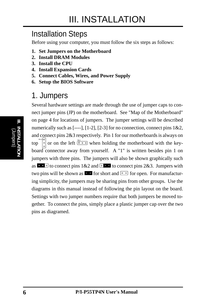## Installation Steps

Before using your computer, you must follow the six steps as follows:

- **1. Set Jumpers on the Motherboard**
- **2. Install DRAM Modules**
- **3. Install the CPU**
- **4. Install Expansion Cards**
- **5. Connect Cables, Wires, and Power Supply**
- **6. Setup the BIOS Software**

## 1. Jumpers

Several hardware settings are made through the use of jumper caps to connect jumper pins (JP) on the motherboard. See "Map of the Motherboard" on page 4 for locations of jumpers. The jumper settings will be described numerically such as  $[--1]$ ,  $[1-2]$ ,  $[2-3]$  for no connection, connect pins  $1\&2$ , and connect pins 2&3 respectively. Pin 1 for our motherboards is always on top or on the left  $\frac{p_1^{n_1}}{p_1^{n_2}-p_1}$  when holding the motherboard with the keyboard connector away from yourself. A "1" is written besides pin 1 on jumpers with three pins. The jumpers will also be shown graphically such as  $\mathbf{r} \cdot \mathbf{r}$  to connect pins 1&2 and  $\mathbf{r} \cdot \mathbf{r}$  to connect pins 2&3. Jumpers with two pins will be shown as **For** for short and  $\boxed{ }$  or open. For manufacturing simplicity, the jumpers may be sharing pins from other groups. Use the diagrams in this manual instead of following the pin layout on the board. Settings with two jumper numbers require that both jumpers be moved together. To connect the pins, simply place a plastic jumper cap over the two pins as diagramed.

(Jumpers) **III. INSTALLATION**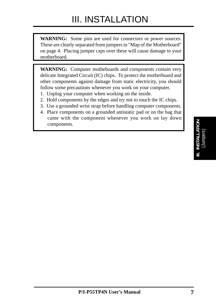**WARNING:** Some pins are used for connectors or power sources. These are clearly separated from jumpers in "Map of the Motherboard" on page 4. Placing jumper caps over these will cause damage to your motherboard.

**WARNING:** Computer motheboards and components contain very delicate Integrated Circuit (IC) chips. To protect the motherboard and other components against damage from static electricity, you should follow some precautions whenever you work on your computer.

- 1. Unplug your computer when working on the inside.
- 2. Hold components by the edges and try not to touch the IC chips.
- 3. Use a grounded wrist strap before handling computer components.
- 4. Place components on a grounded antistatic pad or on the bag that came with the component whenever you work on lay down components.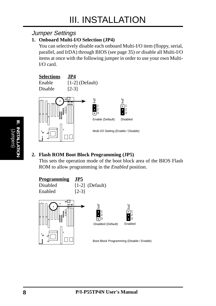### Jumper Settings

#### **1. Onboard Multi-I/O Selection (JP4)**

You can selectively disable each onboard Multi-I/O item (floppy, serial, parallel, and IrDA) through BIOS (see page 35) *or* disable all Multi-I/O items at once with the following jumper in order to use your own Multi-I/O card.



### **2. Flash ROM Boot Block Programming (JP5)**

This sets the operation mode of the boot block area of the BIOS Flash ROM to allow programming in the *Enabled* position.

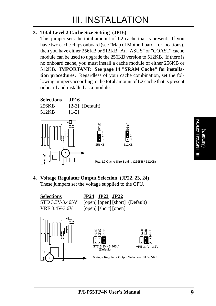#### **3. Total Level 2 Cache Size Setting (JP16)**

This jumper sets the total amount of L2 cache that is present. If you have two cache chips onboard (see "Map of Motherboard" for locations), then you have either 256KB or 512KB. An "ASUS" or "COAST" cache module can be used to upgrade the 256KB version to 512KB. If there is no onboard cache, you must install a cache module of either 256KB or 512KB. **IMPORTANT: See page 14 "SRAM Cache" for installation procedures.** Regardless of your cache combination, set the following jumpers according to the **total** amount of L2 cache that is present onboard and installed as a module.



**4. Voltage Regulator Output Selection (JP22, 23, 24)** These jumpers set the voltage supplied to the CPU.

**Selections JP24 JP23 JP22** STD 3.3V-3.465V [open] [open] [short] (Default) VRE 3.4V-3.6V [open] [short] [open]

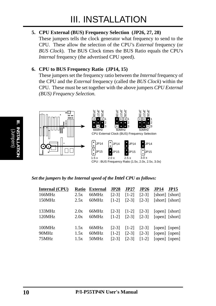#### **5. CPU External (BUS) Frequency Selection (JP26, 27, 28)**

These jumpers tells the clock generator what frequency to send to the CPU. These allow the selection of the CPU's *External* frequency (or *BUS Clock*). The BUS Clock times the BUS Ratio equals the CPU's *Internal* frequency (the advertised CPU speed).

#### **6. CPU to BUS Frequency Ratio (JP14, 15)**

These jumpers set the frequency ratio between the *Internal* frequency of the CPU and the *External* frequency (called the *BUS Clock*) within the CPU. These must be set together with the above jumpers *CPU External (BUS) Frequency Selection.*



*Set the jumpers by the Internal speed of the Intel CPU as follows:*

| <b>Internal (CPU)</b> | <b>Ratio</b> | <b>External</b> | JP28    | JP27                                                                                     | JP26            | <b>JP14</b>                                | <b>JP15</b>     |
|-----------------------|--------------|-----------------|---------|------------------------------------------------------------------------------------------|-----------------|--------------------------------------------|-----------------|
| 166MHz                | 2.5x         | 66MHz           | $[2-3]$ | $[1-2]$                                                                                  | $[2-3]$         |                                            | [short] [short] |
| 150MHz                | 2.5x         | 60MHz           | $[1-2]$ | $[2-3]$                                                                                  | $[2-3]$         |                                            | [short] [short] |
| 133MHz                | 2.0x         | 66MHz           |         | $\begin{bmatrix} 2-3 \\ 1-2 \\ 2 \end{bmatrix}$ $\begin{bmatrix} 2-3 \\ 2 \end{bmatrix}$ |                 |                                            | [open] [short]  |
| 120MHz                | 2.0x         | 60MHz           |         |                                                                                          |                 | $[1-2]$ $[2-3]$ $[2-3]$ $[open]$ $[short]$ |                 |
| 100MHz                | 1.5x         | 66MHz           | $[2-3]$ | $\lceil 1-2 \rceil$                                                                      | $[2-3]$         |                                            | [open] [open]   |
| 90MHz                 | 1.5x         | 60MHz           | $[1-2]$ | $[2-3]$                                                                                  | $[2-3]$         |                                            | [open] [open]   |
| 75MHz                 | 1.5x         | 50MHz           | $[2-3]$ |                                                                                          | $[2-3]$ $[1-2]$ |                                            | [open] [open]   |

(Jumpers) **III. INSTALLATION**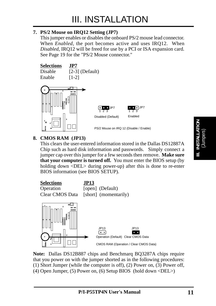#### **7. PS/2 Mouse on IRQ12 Setting (JP7)**

This jumper enables or disables the onboard PS/2 mouse lead connector. When *Enabled*, the port becomes active and uses IRQ12. When *Disabled*, IRQ12 will be freed for use by a PCI or ISA expansion card. See Page 19 for the "PS/2 Mouse connector."



#### **8. CMOS RAM (JP13)**

This clears the user-entered information stored in the Dallas DS12887A Chip such as hard disk information and passwords. Simply connect a jumper cap over this jumper for a few seconds then remove. **Make sure that your computer is turned off.** You must enter the BIOS setup (by holding down <DEL> during power-up) after this is done to re-enter BIOS information (see BIOS SETUP).



**Note:** Dallas DS12B887 chips and Benchmarq BQ3287A chips require that you power on with the jumper shorted as in the following procedures: (1) Short Jumper (while the computer is off), (2) Power on, (3) Power off, (4) Open Jumper, (5) Power on, (6) Setup BIOS (hold down <DEL>)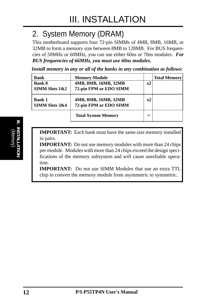# 2. System Memory (DRAM)

This motherboard supports four 72-pin SIMMs of 4MB, 8MB, 16MB, or 32MB to form a memory size between 8MB to 128MB. For BUS frequencies of 50MHz or 60MHz, you can use either 60ns or 70ns modules. *For BUS frequencies of 66MHz, you must use 60ns modules.*

*Install memory in any or all of the banks in any combination as follows:*

| <b>Bank</b>               | <b>Memory Module</b>       |    | <b>Total Memory</b> |
|---------------------------|----------------------------|----|---------------------|
| <b>Bank 0</b>             | 4MB, 8MB, 16MB, 32MB       | x2 |                     |
| <b>SIMM Slots 1&amp;2</b> | 72-pin FPM or EDO SIMM     |    |                     |
| <b>Bank 1</b>             | 4MB, 8MB, 16MB, 32MB       | x2 |                     |
| <b>SIMM Slots 3&amp;4</b> | 72-pin FPM or EDO SIMM     |    |                     |
|                           | <b>Total System Memory</b> |    |                     |

**IMPORTANT:** Each bank must have the same size memory installed in pairs.

**IMPORTANT:** Do not use memory modules with more than 24 chips per module. Modules with more than 24 chips exceed the design specifications of the memory subsystem and will cause unreliable operation.

**IMPORTANT:** Do not use SIMM Modules that use an extra TTL chip to convert the memory module from asymmetric to symmetric.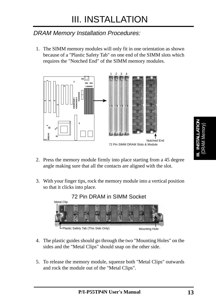## DRAM Memory Installation Procedures:

1. The SIMM memory modules will only fit in one orientation as shown because of a "Plastic Safety Tab" on one end of the SIMM slots which requires the "Notched End" of the SIMM memory modules.



- 2. Press the memory module firmly into place starting from a 45 degree angle making sure that all the contacts are aligned with the slot.
- 3. With your finger tips, rock the memory module into a vertical position so that it clicks into place.



- 4. The plastic guides should go through the two "Mounting Holes" on the sides and the "Metal Clips" should snap on the other side.
- 5. To release the memory module, squeeze both "Metal Clips" outwards and rock the module out of the "Metal Clips".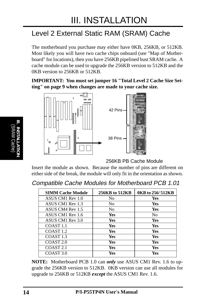## Level 2 External Static RAM (SRAM) Cache

The motherboard you purchase may either have 0KB, 256KB, or 512KB. Most likely you will have two cache chips onboard (see "Map of Motherboard" for locations), then you have 256KB pipelined bust SRAM cache. A cache module can be used to upgrade the 256KB version to 512KB and the 0KB version to 256KB or 512KB.

**IMPORTANT: You must set jumper 16 "Total Level 2 Cache Size Setting" on page 9 when changes are made to your cache size.**



256KB PB Cache Module

Insert the module as shown. Because the number of pins are different on either side of the break, the module will only fit in the orientation as shown.

| <b>Compatible Cache Modules for Motherboard PCB 1.01</b> |  |  |  |  |  |  |
|----------------------------------------------------------|--|--|--|--|--|--|
|----------------------------------------------------------|--|--|--|--|--|--|

| <b>SIMM Cache Module</b> | 256KB to 512KB | 0KB to 256/512KB |
|--------------------------|----------------|------------------|
| ASUS CM1 Rev 1.0         | N <sub>0</sub> | Yes              |
| ASUS CM1 Rev 1.3         | No             | Yes              |
| ASUS CM4 Rev 1.5         | N <sub>0</sub> | Yes              |
| ASUS CM1 Rev 1.6         | Yes            | N <sub>0</sub>   |
| ASUS CM1 Rev 3.0         | Yes            | Yes              |
| COAST <sub>1.1</sub>     | Yes            | Yes              |
| COAST <sub>1.2</sub>     | <b>Yes</b>     | Yes              |
| COAST <sub>1.3</sub>     | <b>Yes</b>     | Yes              |
| COAST <sub>2.0</sub>     | <b>Yes</b>     | Yes              |
| COAST <sub>2.1</sub>     | Yes            | Yes              |
| COAST <sub>3.0</sub>     | Yes            | <b>Yes</b>       |

**NOTE:** Motherboard PCB 1.0 can *only* use ASUS CM1 Rev. 1.6 to upgrade the 256KB version to 512KB. 0KB version can use all modules for upgrade to 256KB or 512KB *except* the ASUS CM1 Rev. 1.6.

(SRAM Cache) **III. INSTALLATION**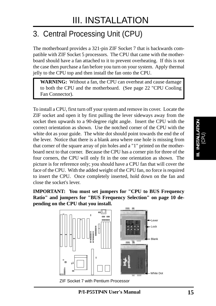# 3. Central Processing Unit (CPU)

The motherboard provides a 321-pin ZIF Socket 7 that is backwards compatible with ZIF Socket 5 processors. The CPU that came with the motherboard should have a fan attached to it to prevent overheating. If this is not the case then purchase a fan before you turn on your system. Apply thermal jelly to the CPU top and then install the fan onto the CPU.

**WARNING:** Without a fan, the CPU can overheat and cause damage to both the CPU and the motherboard. (See page 22 "CPU Cooling Fan Connector).

To install a CPU, first turn off your system and remove its cover. Locate the ZIF socket and open it by first pulling the lever sideways away from the socket then upwards to a 90-degree right angle. Insert the CPU with the correct orientation as shown. Use the notched corner of the CPU with the white dot as your guide. The white dot should point towards the end the of the lever. Notice that there is a blank area where one hole is missing from that corner of the square array of pin holes and a "1" printed on the motherboard next to that corner. Because the CPU has a corner pin for three of the four corners, the CPU will only fit in the one orientation as shown. The picture is for reference only; you should have a CPU fan that will cover the face of the CPU. With the added weight of the CPU fan, no force is required to insert the CPU. Once completely inserted, hold down on the fan and close the socket's lever.

**IMPORTANT: You must set jumpers for "CPU to BUS Frequency Ratio" and jumpers for "BUS Frequency Selection" on page 10 depending on the CPU that you install.**



ZIF Socket 7 with Pentium Processor

I. **Installation**<br>(CPU) **III. INSTALLATION**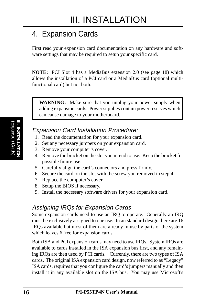# 4. Expansion Cards

First read your expansion card documentation on any hardware and software settings that may be required to setup your specific card.

**NOTE:** PCI Slot 4 has a MediaBus extension 2.0 (see page 18) which allows the installation of a PCI card or a MediaBus card (optional multifunctional card) but not both.

**WARNING:** Make sure that you unplug your power supply when adding expansion cards. Power supplies contain power reserves which can cause damage to your motherboard.

### Expansion Card Installation Procedure:

- 1. Read the documentation for your expansion card.
- 2. Set any necessary jumpers on your expansion card.
- 3. Remove your computer's cover.
- 4. Remove the bracket on the slot you intend to use. Keep the bracket for possible future use.
- 5. Carefully align the card's connectors and press firmly.
- 6. Secure the card on the slot with the screw you removed in step 4.
- 7. Replace the computer's cover.
- 8. Setup the BIOS if necessary.
- 9. Install the necessary software drivers for your expansion card.

### Assigning IRQs for Expansion Cards

Some expansion cards need to use an IRQ to operate. Generally an IRQ must be exclusively assigned to one use. In an standard design there are 16 IRQs available but most of them are already in use by parts of the system which leaves 6 free for expansion cards.

Both ISA and PCI expansion cards may need to use IRQs. System IRQs are available to cards installed in the ISA expansion bus first, and any remaining IRQs are then used by PCI cards. Currently, there are two types of ISA cards. The original ISA expansion card design, now referred to as "Legacy" ISA cards, requires that you configure the card's jumpers manually and then install it in any available slot on the ISA bus. You may use Microsoft's

**16 P/I-P55TP4N User's Manual**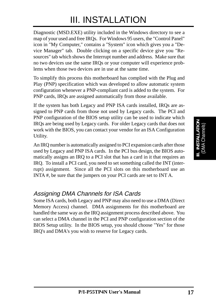# III. INSTALLATION

Diagnostic (MSD.EXE) utility included in the Windows directory to see a map of your used and free IRQs. For Windows 95 users, the "Control Panel" icon in "My Computer," contains a "System" icon which gives you a "Device Manager" tab. Double clicking on a specific device give you "Resources" tab which shows the Interrupt number and address. Make sure that no two devices use the same IRQs or your computer will experience problems when those two devices are in use at the same time.

To simplify this process this motherboard has complied with the Plug and Play (PNP) specification which was developed to allow automatic system configuration whenever a PNP-compliant card is added to the system. For PNP cards, IRQs are assigned automatically from those available.

If the system has both Legacy and PNP ISA cards installed, IRQs are assigned to PNP cards from those not used by Legacy cards. The PCI and PNP configuration of the BIOS setup utility can be used to indicate which IRQs are being used by Legacy cards. For older Legacy cards that does not work with the BIOS, you can contact your vendor for an ISA Configuration Utility.

An IRQ number is automatically assigned to PCI expansion cards after those used by Legacy and PNP ISA cards. In the PCI bus design, the BIOS automatically assigns an IRQ to a PCI slot that has a card in it that requires an IRQ. To install a PCI card, you need to set something called the INT (interrupt) assignment. Since all the PCI slots on this motherboard use an INTA #, be sure that the jumpers on your PCI cards are set to INT A.

### Assigning DMA Channels for ISA Cards

Some ISA cards, both Legacy and PNP may also need to use a DMA (Direct Memory Access) channel. DMA assignments for this motherboard are handled the same way as the IRQ assignment process described above. You can select a DMA channel in the PCI and PNP configuration section of the BIOS Setup utility. In the BIOS setup, you should choose "Yes" for those IRQ's and DMA's you wish to reserve for Legacy cards.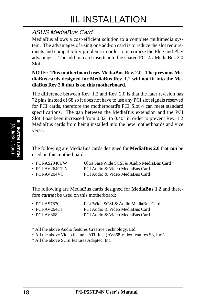### ASUS MediaBus Card

MediaBus allows a cost-efficient solution to a complete multimedia system. The advantages of using one add-on card is to reduce the slot requirements and compatibility problems in order to maximize the Plug and Play advantages. The add-on card inserts into the shared PCI 4 / MediaBus 2.0 Slot.

#### **NOTE: This motherboard uses MediaBus Rev. 2.0. The previous MediaBus cards designed for MediaBus Rev. 1.2 will not fit into the MediaBus Rev 2.0 that is on this motherboard.**

The difference between Rev. 1.2 and Rev. 2.0 is that the later revision has 72 pins instead of 68 so it does not have to use any PCI slot signals reserved for PCI cards, therefore the motherboard's PCI Slot 4 can meet standard specifications. The gap between the MediaBus extension and the PCI Slot 4 has been increased from 0.32" to 0.40" in order to prevent Rev. 1.2 MediaBus cards from being installed into the new motherboards and vice versa.

The following are MediaBus cards designed for **MediaBus 2.0** that *can* be used on this motherboard:

| $\cdot$ PCI-AS2940UW  | Ultra Fast/Wide SCSI & Audio MediaBus Card |
|-----------------------|--------------------------------------------|
| $\cdot$ PCI-AV264CT-N | PCI Audio & Video MediaBus Card            |

• PCI-AV264VT PCI Audio & Video MediaBus Card

The following are MediaBus cards designed for **MediaBus 1.2** and therefore *cannot* be used on this motherboard:

| $\cdot$ PCI-AS7870 | Fast/Wide SCSI & Audio MediaBus Card |
|--------------------|--------------------------------------|
| • PCI-AV264CT      | PCI Audio & Video MediaBus Card      |
| • PCI-AV868        | PCI Audio & Video MediaBus Card      |

\* All the above Audio features Creative Technology, Ltd.

\* All the above Video features ATI, Inc. (AV868 Video features S3, Inc.)

\* All the above SCSI features Adaptec, Inc.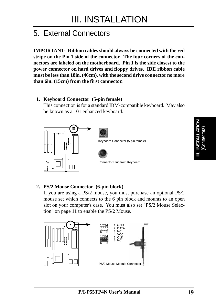## 5. External Connectors

**IMPORTANT: Ribbon cables should always be connected with the red stripe on the Pin 1 side of the connector. The four corners of the connectors are labeled on the motherboard. Pin 1 is the side closest to the power connector on hard drives and floppy drives. IDE ribbon cable must be less than 18in. (46cm), with the second drive connector no more than 6in. (15cm) from the first connector.**

#### **1. Keyboard Connector (5-pin female)**

This connection is for a standard IBM-compatible keyboard. May also be known as a 101 enhanced keyboard.



#### **2. PS/2 Mouse Connector (6-pin block)**

If you are using a PS/2 mouse, you must purchase an optional PS/2 mouse set which connects to the 6 pin block and mounts to an open slot on your computer's case. You must also set "PS/2 Mouse Selection" on page 11 to enable the PS/2 Mouse.

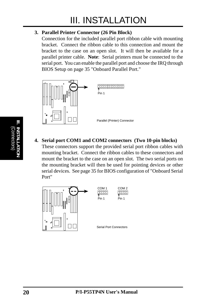#### **3. Parallel Printer Connector (26 Pin Block)**

Connection for the included parallel port ribbon cable with mounting bracket. Connect the ribbon cable to this connection and mount the bracket to the case on an open slot. It will then be available for a parallel printer cable. **Note**: Serial printers must be connected to the serial port. You can enable the parallel port and choose the IRQ through BIOS Setup on page 35 "Onboard Parallel Port."



**4. Serial port COM1 and COM2 connectors (Two 10-pin blocks)** These connectors support the provided serial port ribbon cables with mounting bracket. Connect the ribbon cables to these connectors and mount the bracket to the case on an open slot. The two serial ports on the mounting bracket will then be used for pointing devices or other serial devices. See page 35 for BIOS configuration of "Onboard Serial Port"

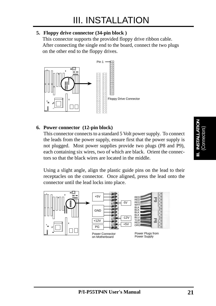#### **5. Floppy drive connector (34-pin block )**

This connector supports the provided floppy drive ribbon cable. After connecting the single end to the board, connect the two plugs on the other end to the floppy drives.



#### **6. Power connector (12-pin block)**

This connector connects to a standard 5 Volt power supply. To connect the leads from the power supply, ensure first that the power supply is not plugged. Most power supplies provide two plugs (P8 and P9), each containing six wires, two of which are black. Orient the connectors so that the black wires are located in the middle.

Using a slight angle, align the plastic guide pins on the lead to their receptacles on the connector. Once aligned, press the lead onto the connector until the lead locks into place.

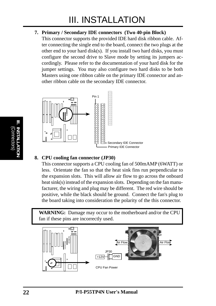#### **7. Primary / Secondary IDE connectors (Two 40-pin Block)**

This connector supports the provided IDE hard disk ribbon cable. After connecting the single end to the board, connect the two plugs at the other end to your hard disk(s). If you install two hard disks, you must configure the second drive to Slave mode by setting its jumpers accordingly. Please refer to the documentation of your hard disk for the jumper settings. You may also configure two hard disks to be both Masters using one ribbon cable on the primary IDE connector and another ribbon cable on the secondary IDE connector.



#### **8. CPU cooling fan connector (JP30)**

This connector supports a CPU cooling fan of 500mAMP (6WATT) or less. Orientate the fan so that the heat sink fins run perpendicular to the expansion slots. This will allow air flow to go across the onboard heat sink(s) instead of the expansion slots. Depending on the fan manufacturer, the wiring and plug may be different. The red wire should be positive, while the black should be ground. Connect the fan's plug to the board taking into consideration the polarity of the this connector.

**WARNING:** Damage may occur to the motherboard and/or the CPU fan if these pins are incorrectly used.

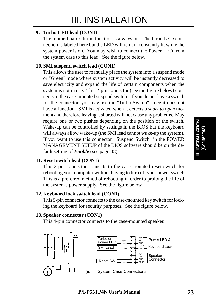#### **9. Turbo LED lead (CON1)**

The motherboard's turbo function is always on. The turbo LED connection is labeled here but the LED will remain constantly lit while the system power is on. You may wish to connect the Power LED from the system case to this lead. See the figure below.

#### **10. SMI suspend switch lead (CON1)**

This allows the user to manually place the system into a suspend mode or "Green" mode where system activity will be instantly decreased to save electricity and expand the life of certain components when the system is not in use. This 2-pin connector (see the figure below) connects to the case-mounted suspend switch. If you do not have a switch for the connector, you may use the "Turbo Switch" since it does not have a function. SMI is activated when it detects a *short to open* moment and therefore leaving it shorted will not cause any problems. May require one or two pushes depending on the position of the switch. Wake-up can be controlled by settings in the BIOS but the keyboard will always allow wake-up (the SMI lead cannot wake-up the system). If you want to use this connector, "Suspend Switch" in the POWER MANAGEMENT SETUP of the BIOS software should be on the default setting of *Enable* (see page 38).

#### **11. Reset switch lead (CON1)**

This 2-pin connector connects to the case-mounted reset switch for rebooting your computer without having to turn off your power switch This is a preferred method of rebooting in order to prolong the life of the system's power supply. See the figure below.

#### **12. Keyboard lock switch lead (CON1)**

This 5-pin connector connects to the case-mounted key switch for locking the keyboard for security purposes. See the figure below.

#### **13. Speaker connector (CON1)**

This 4-pin connector connects to the case-mounted speaker.



| l Turbo or<br>l Power LED | $+5V$<br>GND |        | +5\<br>- NC<br>GND                 | Power LED &          |
|---------------------------|--------------|--------|------------------------------------|----------------------|
| l SMI Lead                | GND          | ٠<br>o | <b>LOCK</b>                        | Keyboard Lock        |
| <b>Reset SW</b>           |              |        | $+5V$<br>GND<br><b>GND</b><br>SPKR | Speaker<br>Connector |

System Case Connections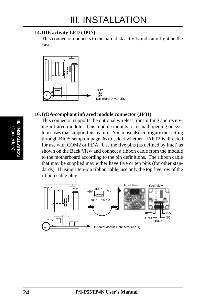#### **14. IDE activity LED (JP17)**

This connector connects to the hard disk activity indicator light on the case.



#### **16. IrDA-compliant infrared module connector (JP31)**

This connector supports the optional wireless transmitting and receiving infrared module. This module mounts to a small opening on system cases that support this feature. You must also configure the setting through BIOS setup on page 36 to select whether UART2 is directed for use with COM2 or IrDA. Use the five pins (as defined by Intel) as shown on the Back View and connect a ribbon cable from the module to the motherboard according to the pin definitions. The ribbon cable that may be supplied may either have five or ten pins (for other standards). If using a ten-pin ribbon cable, use only the top five row of the ribbon cable plug.

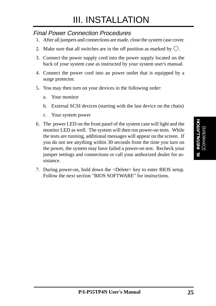### Final Power Connection Procedures

- 1. After all jumpers and connections are made, close the system case cover.
- 2. Make sure that all switches are in the off position as marked by  $\bigcirc$ .
- 3. Connect the power supply cord into the power supply located on the back of your system case as instructed by your system user's manual.
- 4. Connect the power cord into an power outlet that is equipped by a surge protector.
- 5. You may then turn on your devices in the following order:
	- a. Your monitor
	- b. External SCSI devices (starting with the last device on the chain)
	- c. Your system power
- 6. The power LED on the front panel of the system case will light and the monitor LED as well. The system will then run power-on tests. While the tests are running, additional messages will appear on the screen. If you do not see anything within 30 seconds from the time you turn on the power, the system may have failed a power-on test. Recheck your jumper settings and connections or call your authorized dealer for assistance.
- 7. During power-on, hold down the <Delete> key to enter BIOS setup. Follow the next section "BIOS SOFTWARE" for instructions.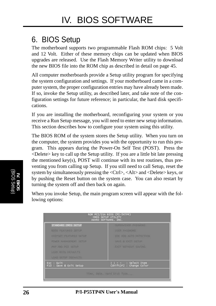## 6. BIOS Setup

The motherboard supports two programmable Flash ROM chips: 5 Volt and 12 Volt. Either of these memory chips can be updated when BIOS upgrades are released. Use the Flash Memory Writer utility to download the new BIOS file into the ROM chip as described in detail on page 45.

All computer motherboards provide a Setup utility program for specifying the system configuration and settings. If your motherboard came in a computer system, the proper configuration entries may have already been made. If so, invoke the Setup utility, as described later, and take note of the configuration settings for future reference; in particular, the hard disk specifications.

If you are installing the motherboard, reconfiguring your system or you receive a Run Setup message, you will need to enter new setup information. This section describes how to configure your system using this utility.

The BIOS ROM of the system stores the Setup utility. When you turn on the computer, the system provides you with the opportunity to run this program. This appears during the Power-On Self Test (POST). Press the <Delete> key to call up the Setup utility. If you are a little bit late pressing the mentioned key(s), POST will continue with its test routines, thus preventing you from calling up Setup. If you still need to call Setup, reset the system by simultaneously pressing the <Ctrl>, <Alt> and <Delete> keys, or by pushing the Reset button on the system case. You can also restart by turning the system off and then back on again.

When you invoke Setup, the main program screen will appear with the following options:

| 71mg, Date, Hard Disk Type            |                                                                           |  |  |  |
|---------------------------------------|---------------------------------------------------------------------------|--|--|--|
| Esc : Quit<br>F10 : Save & Exit Setup | → ・・ : Select Item<br>(Shift)F2 : Change Color                            |  |  |  |
| LOAD SETUP OFFAULTS                   |                                                                           |  |  |  |
| LOAD SIDS (DEFAULTS)                  |                                                                           |  |  |  |
| <b>PNP AND PCE SETUP</b>              | <b>EXIT NITHOUT SAYING</b>                                                |  |  |  |
| <b>FONER MANAGEMENT SEEUP</b>         | SAVE & IDG SETUP                                                          |  |  |  |
| CHIPSEY FEATURES SETUP                | TOE HOO AUTO DETECTION                                                    |  |  |  |
| <b>BIOS FLATURES SETUP</b>            | USER PASSWORD                                                             |  |  |  |
| STANDARD CMOS SETUP                   | SUPERVISOR PASSWORD                                                       |  |  |  |
|                                       | ROM PCI/ISA BIOS (PI-5XTP4)<br>CMOS SETUP UTILITY<br>AWARD SOFTWARE, INC. |  |  |  |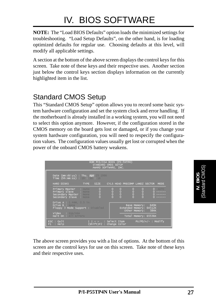**NOTE:** The "Load BIOS Defaults" option loads the minimized settings for troubleshooting. "Load Setup Defaults", on the other hand, is for loading optimized defaults for regular use. Choosing defaults at this level, will modify all applicable settings.

A section at the bottom of the above screen displays the control keys for this screen. Take note of these keys and their respective uses. Another section just below the control keys section displays information on the currently highlighted item in the list.

## Standard CMOS Setup

This "Standard CMOS Setup" option allows you to record some basic system hardware configuration and set the system clock and error handling. If the motherboard is already installed in a working system, you will not need to select this option anymore. However, if the configuration stored in the CMOS memory on the board gets lost or damaged, or if you change your system hardware configuration, you will need to respecify the configuration values. The configuration values usually get lost or corrupted when the power of the onboard CMOS battery weakens.

| ROM PCI/ISA BIOS (PI-5XTP4)<br>STANDARD CMOS SETUP<br>AWARD SOFTWARE, INC.                                                              |                                                                                         |  |  |  |
|-----------------------------------------------------------------------------------------------------------------------------------------|-----------------------------------------------------------------------------------------|--|--|--|
| Date (mm:dd:yy) : Thu, Apr 25 1996<br>Time $(hh:mm:ss)$ : 19 : 30 : 16                                                                  |                                                                                         |  |  |  |
| HARD DISKS                                                                                                                              | TYPE SIZE CYLS HEAD PRECOMP LANDZ SECTOR<br><b>MODE</b>                                 |  |  |  |
| $\frac{0}{0}$<br><b>Primary Master : Auto</b><br>Primary Slave : Nome<br>Secondary Master : None<br>$\bar{0}$<br>Secondary Slave : None | oooo<br>$rac{1}{2}$<br>$0$ AUTO<br>$rac{1}{2}$<br>oooo<br>-------<br>-------<br>------- |  |  |  |
| Drive A : 1.44M, 3.5 in.<br>Drive B : Nome<br>Floppy 3 Mode Support : Disabled                                                          | Base Memory: 640K<br>Extended Memory: 64512K<br>Other Memory: 384K                      |  |  |  |
| Video : EGA/VGA<br>Halt On : All Errors                                                                                                 | Total Memory: 65536K                                                                    |  |  |  |
| $PU/PD/+/-$ : Modify<br>i l → ←   : Select Item<br>ESC : Quit<br>(Shift)F2 : Change Color<br>$F1$ : Help                                |                                                                                         |  |  |  |

The above screen provides you with a list of options. At the bottom of this screen are the control keys for use on this screen. Take note of these keys and their respective uses.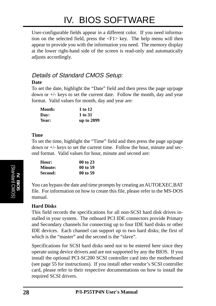User-configurable fields appear in a different color. If you need information on the selected field, press the <F1> key. The help menu will then appear to provide you with the information you need. The memory display at the lower right-hand side of the screen is read-only and automatically adjusts accordingly.

### Details of Standard CMOS Setup: **Date**

To set the date, highlight the "Date" field and then press the page up/page down or +/- keys to set the current date. Follow the month, day and year format. Valid values for month, day and year are:

| <b>Month:</b> | 1 to 12    |
|---------------|------------|
| Day:          | 1 to 31    |
| Year:         | up to 2099 |

#### **Time**

To set the time, highlight the "Time" field and then press the page up/page down or +/- keys to set the current time. Follow the hour, minute and second format. Valid values for hour, minute and second are:

| Hour:   | 00 to 23 |
|---------|----------|
| Minute: | 00 to 59 |
| Second: | 00 to 59 |

You can bypass the date and time prompts by creating an AUTOEXEC.BAT file. For information on how to create this file, please refer to the MS-DOS manual.

#### **Hard Disks**

This field records the specifications for all non-SCSI hard disk drives installed in your system. The onboard PCI IDE connectors provide Primary and Secondary channels for connecting up to four IDE hard disks or other IDE devices. Each channel can support up to two hard disks; the first of which is the "master" and the second is the "slave".

Specifications for SCSI hard disks need not to be entered here since they operate using device drivers and are not supported by any the BIOS. If you install the optional PCI-SC200 SCSI controller card into the motherboard (see page 55 for instructions). If you install other vendor's SCSI controller card, please refer to their respective documentations on how to install the required SCSI drivers.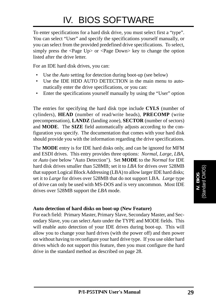To enter specifications for a hard disk drive, you must select first a "type". You can select "User" and specify the specifications yourself manually, or you can select from the provided predefined drive specifications. To select, simply press the <Page Up> or <Page Down> key to change the option listed after the drive letter.

For an IDE hard disk drives, you can:

- Use the *Auto* setting for detection during boot-up (see below)
- Use the IDE HDD AUTO DETECTION in the main menu to automatically enter the drive specifications, or you can:
- Enter the specifications yourself manually by using the "User" option

The entries for specifying the hard disk type include **CYLS** (number of cylinders), **HEAD** (number of read/write heads), **PRECOMP** (write precompensation), **LANDZ** (landing zone), **SECTOR** (number of sectors) and **MODE**. The **SIZE** field automatically adjusts according to the configuration you specify. The documentation that comes with your hard disk should provide you with the information regarding the drive specifications.

The **MODE** entry is for IDE hard disks only, and can be ignored for MFM and ESDI drives. This entry provides three options: *Normal, Large, LBA*, or *Auto* (see below "Auto Detection"). Set **MODE** to the *Normal* for IDE hard disk drives smaller than 528MB; set it to *LBA* for drives over 528MB that support Logical Block Addressing (LBA) to allow larger IDE hard disks; set it to *Large* for drives over 528MB that do not support LBA. *Large* type of drive can only be used with MS-DOS and is very uncommon. Most IDE drives over 528MB support the *LBA* mode.

#### **Auto detection of hard disks on boot-up (New Feature)**

For each field: Primary Master, Primary Slave, Secondary Master, and Secondary Slave, you can select *Auto* under the TYPE and MODE fields. This will enable auto detection of your IDE drives during boot-up. This will allow you to change your hard drives (with the power off) and then power on without having to reconfigure your hard drive type. If you use older hard drives which do not support this feature, then you must configure the hard drive in the standard method as described on page 28.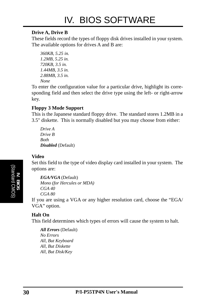#### **Drive A, Drive B**

These fields record the types of floppy disk drives installed in your system. The available options for drives A and B are:

```
360KB, 5.25 in.
1.2MB, 5.25 in.
720KB, 3.5 in.
1.44MB, 3.5 in.
2.88MB, 3.5 in.
None
```
To enter the configuration value for a particular drive, highlight its corresponding field and then select the drive type using the left- or right-arrow key.

#### **Floppy 3 Mode Support**

This is the Japanese standard floppy drive. The standard stores 1.2MB in a 3.5" diskette. This is normally disabled but you may choose from either:

*Drive A Drive B Both Disabled* (Default)

#### **Video**

Set this field to the type of video display card installed in your system. The options are:

```
EGA/VGA (Default)
Mono (for Hercules or MDA)
CGA 40
CGA 80
```
If you are using a VGA or any higher resolution card, choose the "EGA/ VGA" option.

#### **Halt On**

This field determines which types of errors will cause the system to halt.

*All Errors* (Default) *No Errors All, But Keyboard All, But Diskette All, But Disk/Key*

**IV. BIOS** (Standard CMOS)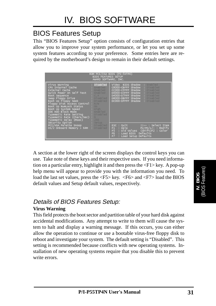## BIOS Features Setup

This "BIOS Features Setup" option consists of configuration entries that allow you to improve your system performance, or let you set up some system features according to your preference. Some entries here are required by the motherboard's design to remain in their default settings.

| ROM PCI/ISA BIOS (PI-5XTP4)<br><b>BIOS FEATURES SETUP</b><br>AWARD SOFTWARE, INC.                                                                                                                                                                                                                                                                                        |                                                                                                                             |                                                                                                                                                                                                                                                     |  |  |
|--------------------------------------------------------------------------------------------------------------------------------------------------------------------------------------------------------------------------------------------------------------------------------------------------------------------------------------------------------------------------|-----------------------------------------------------------------------------------------------------------------------------|-----------------------------------------------------------------------------------------------------------------------------------------------------------------------------------------------------------------------------------------------------|--|--|
| Virus Warning<br>CPU Internal Cache<br>External Cache<br>Quick Power On Self Test<br>Boot Sequence<br>Swap Floppy Drive<br>Boot Up Floppy Seek<br>Floppy Disk Access Control: R/W<br>Boot Up NumLock Status<br>Boot Up System Speed<br>IDE HDD Block Mode<br>Typematic Rate Setting<br>Typematic Rate (Chars/Sec) : 1<br>Typematic Delay (Msec) : 250<br>Security Option | : Disabled<br>Enabled<br>Enabled<br>Enabled<br>C, A<br>Disabled<br>Disabled<br>$\sim$ 0n<br>$  High$<br>Enabled<br>Disabled | Video BIOS Shadow<br>Enabled<br>C8000-CBFFF Shadow<br>Disabled<br>: Disabled<br>CC000-CFFFF Shadow<br>: Disabled<br>D0000-D3FFF Shadow<br>D4000-D7FFF Shadow<br>Disabled<br>Disabled<br>D8000-DBFFF Shadow<br><b>Disabled</b><br>DC000-DFFFF Shadow |  |  |
| Setup<br><b>PCI/VGA Palette Snoop : Disabled</b><br>$OS/2$ Onboard Memory $> 64M$ : Disabled                                                                                                                                                                                                                                                                             |                                                                                                                             | ESC : Quit<br>Il-- : Select Item<br>$PU/PD/+/-$ : Modify<br>$:$ Help $\overline{\phantom{a}}$<br>F1<br>: Old Values (Shift)F2 : Color<br>F <sub>5</sub><br>: Load BIOS Defaults<br>F <sub>6</sub><br>F7<br>: Load Setup Defaults                    |  |  |

A section at the lower right of the screen displays the control keys you can use. Take note of these keys and their respective uses. If you need information on a particular entry, highlight it and then press the <F1> key. A pop-up help menu will appear to provide you with the information you need. To load the last set values, press the <F5> key. <F6> and <F7> load the BIOS default values and Setup default values, respectively.

### Details of BIOS Features Setup:

#### **Virus Warning**

This field protects the boot sector and partition table of your hard disk against accidental modifications. Any attempt to write to them will cause the system to halt and display a warning message. If this occurs, you can either allow the operation to continue or use a bootable virus-free floppy disk to reboot and investigate your system. The default setting is "Disabled". This setting is recommended because conflicts with new operating systems. Installation of new operating systems require that you disable this to prevent write errors.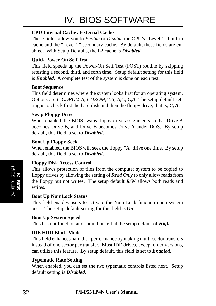#### **CPU Internal Cache / External Cache**

These fields allow you to *Enable* or *Disable* the CPU's "Level 1" built-in cache and the "Level 2" secondary cache. By default, these fields are enabled. With Setup Defaults, the L2 cache is *Disabled*.

#### **Quick Power On Self Test**

This field speeds up the Power-On Self Test (POST) routine by skipping retesting a second, third, and forth time. Setup default setting for this field is *Enabled*. A complete test of the system is done on each test.

#### **Boot Sequence**

This field determines where the system looks first for an operating system. Options are *C,CDROM,A*; *CDROM,C,A*; *A,C*; *C,A* The setup default setting is to check first the hard disk and then the floppy drive; that is, *C, A*.

#### **Swap Floppy Drive**

When enabled, the BIOS swaps floppy drive assignments so that Drive A becomes Drive B, and Drive B becomes Drive A under DOS. By setup default, this field is set to *Disabled*.

#### **Boot Up Floppy Seek**

When enabled, the BIOS will seek the floppy "A" drive one time. By setup default, this field is set to *Disabled*.

#### **Floppy Disk Access Control**

This allows protection of files from the computer system to be copied to floppy drives by allowing the setting of *Read Only* to only allow reads from the floppy but not writes. The setup default *R/W* allows both reads and writes.

#### **Boot Up NumLock Status**

This field enables users to activate the Num Lock function upon system boot. The setup default setting for this field is *On*.

#### **Boot Up System Speed**

This has not function and should be left at the setup default of *High*.

#### **IDE HDD Block Mode**

This field enhances hard disk performance by making multi-sector transfers instead of one sector per transfer. Most IDE drives, except older versions, can utilize this feature. By setup default, this field is set to *Enabled*.

#### **Typematic Rate Setting**

When enabled, you can set the two typematic controls listed next. Setup default setting is *Disabled*.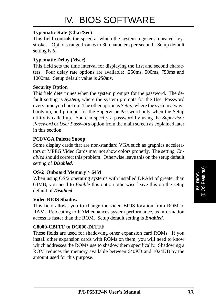#### **Typematic Rate (Char/Sec)**

This field controls the speed at which the system registers repeated keystrokes. Options range from 6 to 30 characters per second. Setup default setting is *6*.

#### **Typematic Delay (Msec)**

This field sets the time interval for displaying the first and second characters. Four delay rate options are available: 250ms, 500ms, 750ms and 1000ms. Setup default value is *250ms*.

#### **Security Option**

This field determines when the system prompts for the password. The default setting is *System*, where the system prompts for the User Password every time you boot up. The other option is *Setup*, where the system always boots up, and prompts for the Supervisor Password only when the Setup utility is called up. You can specify a password by using the *Supervisor Password* or *User Password* option from the main screen as explained later in this section.

#### **PCI/VGA Palette Snoop**

Some display cards that are non-standard VGA such as graphics accelerators or MPEG Video Cards may not show colors properly. The setting *Enabled* should correct this problem. Otherwise leave this on the setup default setting of *Disabled*.

#### **OS/2 Onboard Memory > 64M**

When using OS/2 operating systems with installed DRAM of greater than 64MB, you need to *Enable* this option otherwise leave this on the setup default of *Disabled*.

#### **Video BIOS Shadow**

This field allows you to change the video BIOS location from ROM to RAM. Relocating to RAM enhances system performance, as information access is faster than the ROM. Setup default setting is *Enabled*.

#### **C8000-CBFFF to DC000-DFFFF**

These fields are used for shadowing other expansion card ROMs. If you install other expansion cards with ROMs on them, you will need to know which addresses the ROMs use to shadow them specifically. Shadowing a ROM reduces the memory available between 640KB and 1024KB by the amount used for this purpose.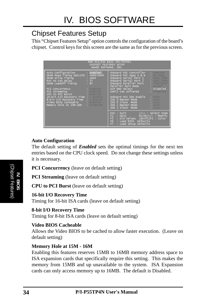## Chipset Features Setup

This "Chipset Features Setup" option controls the configuration of the board's chipset. Control keys for this screen are the same as for the previous screen.

| ROM PCI/ISA BIOS (PI-5XTP4)<br>CHIPSET FEATURES SETUP<br>AWARD SOFTWARE, INC.                                                                                                                                                                                                                 |                                                                                                                                                                                                                                                                                                                                         |  |  |  |
|-----------------------------------------------------------------------------------------------------------------------------------------------------------------------------------------------------------------------------------------------------------------------------------------------|-----------------------------------------------------------------------------------------------------------------------------------------------------------------------------------------------------------------------------------------------------------------------------------------------------------------------------------------|--|--|--|
| : Enabled<br>Auto Configuration<br>DRAM Read Timing EDO/STD : $\overline{x444}/\overline{x444}$<br>DRAM Write Timing : x444<br>RAS to CAS Delay : 3T<br>DRAM Leadoff Timing<br>: 8T                                                                                                           | : Enabled<br>Onboard FDC Controller<br>Onboard FDC Swap A & B<br>No Swap<br>Onboard Serial Port 1<br>COM1, 3F8H<br>Onboard Serial Port 2<br>COM2, 2F8H<br>Onboard Parallel Port<br>378H/IRQ<br><b>Parallel Port Mode [18]: Normal</b>                                                                                                   |  |  |  |
| <b>Enabled</b><br>PCI Concurrency<br><b>PCI Streaming Contract Streaming</b> (Fig. 2016)<br><b>CPU to PCI Burst that the state of the state of the state of the state of the state of the state of the state</b><br>16-bit I/O Recovery Time : 1 BUSCER<br>8-bit I/O Recovery Time : I BUSCIK | ECP DMA Select<br>and the control of the control of the control of the control of the control of the control of the control of t<br>UART2 Use Infrared<br>Disabled<br>Onboard PCI IDE Enable<br>- Both<br>IDE 0 Master Mode<br>- Auto<br>IDE 0 Slave Mode : AUTO<br>IDE 1 Master Mode<br><b>Auto</b><br>IDE 1 Slave Mode<br><b>Auto</b> |  |  |  |
|                                                                                                                                                                                                                                                                                               | ESC : Ouit<br> il-- : Select Item<br>$\therefore$ Help $\equiv$<br>$PU/PD/+/-$ : Modify<br>F1.<br>: Old Values (Shift)F2 : Color<br>F5<br>: Load BIOS Defaults<br>F <sub>6</sub><br>: Load Setup Defaults<br>FZ.                                                                                                                        |  |  |  |

#### **Auto Configuration**

The default setting of *Enabled* sets the optimal timings for the next ten entries based on the CPU clock speed. Do not change these settings unless it is necessary.

**PCI Concurrency** (leave on default setting)

**PCI Streaming** (leave on default setting)

**CPU to PCI Burst** (leave on default setting)

#### **16-bit I/O Recovery Time**

Timing for 16-bit ISA cards (leave on default setting)

**8-bit I/O Recovery Time** Timing for 8-bit ISA cards (leave on default setting)

#### **Video BIOS Cacheable**

Allows the Video BIOS to be cached to allow faster execution. (Leave on default setting)

#### **Memory Hole at 15M - 16M**

Enabling this features reserves 15MB to 16MB memory address space to ISA expansion cards that specifically require this setting. This makes the memory from 15MB and up unavailable to the system. ISA Expansion cards can only access memory up to 16MB. The default is Disabled.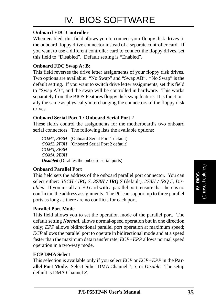#### **Onboard FDC Controller**

When enabled, this field allows you to connect your floppy disk drives to the onboard floppy drive connector instead of a separate controller card. If you want to use a different controller card to connect the floppy drives, set this field to "Disabled". Default setting is "Enabled".

#### **Onboard FDC Swap A: B:**

This field reverses the drive letter assignments of your floppy disk drives. Two options are available: "No Swap" and "Swap AB". "No Swap" is the default setting. If you want to switch drive letter assignments, set this field to "Swap AB", and the swap will be controlled in hardware. This works separately from the BIOS Features floppy disk swap feature. It is functionally the same as physically interchanging the connectors of the floppy disk drives.

#### **Onboard Serial Port 1 / Onboard Serial Port 2**

These fields control the assignments for the motherboard's two onboard serial connectors. The following lists the available options:

*COM1, 3F8H* (Onboard Serial Port 1 default) *COM2, 2F8H* (Onboard Serial Port 2 default) *COM3, 3E8H COM4, 2E8H Disabled* (Disables the onboard serial ports)

#### **Onboard Parallel Port**

This field sets the address of the onboard parallel port connector. You can select either: *3BCH / IRQ 7, 378H / IRQ 7* (default)*, 278H / IRQ 5, Disabled.* If you install an I/O card with a parallel port, ensure that there is no conflict in the address assignments. The PC can support up to three parallel ports as long as there are no conflicts for each port.

#### **Parallel Port Mode**

This field allows you to set the operation mode of the parallel port. The default setting *Normal*, allows normal-speed operation but in one direction only; *EPP* allows bidirectional parallel port operation at maximum speed; *ECP* allows the parallel port to operate in bidirectional mode and at a speed faster than the maximum data transfer rate; *ECP+EPP* allows normal speed operation in a two-way mode.

#### **ECP DMA Select**

This selection is available only if you select *ECP* or *ECP+EPP* in the **Parallel Port Mode**. Select either DMA Channel *1, 3,* or *Disable*. The setup default is DMA Channel *3*.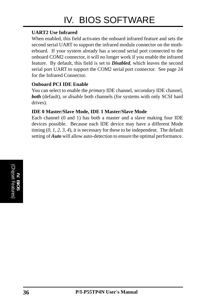#### **UART2 Use Infrared**

When enabled, this field activates the onboard infrared feature and sets the second serial UART to support the infrared module connector on the motherboard. If your system already has a second serial port connected to the onboard COM2 connector, it will no longer work if you enable the infrared feature. By default, this field is set to *Disabled*, which leaves the second serial port UART to support the COM2 serial port connector. See page 24 for the Infrared Connector.

#### **Onboard PCI IDE Enable**

You can select to enable the *primary* IDE channel, *secondary* IDE channel, *both* (default), or *disable* both channels (for systems with only SCSI hard drives).

#### **IDE 0 Master/Slave Mode, IDE 1 Master/Slave Mode**

Each channel (0 and 1) has both a master and a slave making four IDE devices possible. Because each IDE device may have a different Mode timing (*0, 1, 2, 3, 4*), it is necessary for these to be independent. The default setting of *Auto* will allow auto-detection to ensure the optimal performance.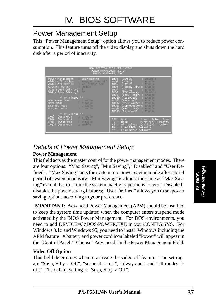## Power Management Setup

This "Power Management Setup" option allows you to reduce power consumption. This feature turns off the video display and shuts down the hard disk after a period of inactivity.

| ROM PCI/ISA BIOS (PI-5XTP4)<br>POWER MANAGEMENT SETUP<br>AWARD SOFTWARE, INC.                                                                                                                                                                               |                                                                                                                                                                                                                                                                                                               |  |  |
|-------------------------------------------------------------------------------------------------------------------------------------------------------------------------------------------------------------------------------------------------------------|---------------------------------------------------------------------------------------------------------------------------------------------------------------------------------------------------------------------------------------------------------------------------------------------------------------|--|--|
| : User Define<br>Power Management<br>Video Off Option : $susp, stby \rightarrow$ Off<br>Video Off Method : V/H SYNC+Blank<br>Suspend Switch : Enable<br>Doze Speed (div by): 8<br>Stdby Speed(div by): $32$<br>** PM Timers **<br>HDD Power Down : Disable. | (COM 2)<br>Disable<br>IRQ3<br>$\text{COM} \left( 1 \right)$<br>IRQ4<br>Enable<br>(LPT 2)<br>IRQ5<br>Enable<br>(Floppy Disk): Enable<br>IRQ6<br>$(LPT 1)$ : Enable<br>IRQ7<br>(RTC Alarm) : Disable<br>IRQ8<br>(IRQ2 Redir) : Enable<br>IRQ9<br>IRQ10 (Reserved)<br>Enable<br><b>IRQ11 (Reserved) : Enable</b> |  |  |
| Disable<br>Doze Mode<br><b>Standby Mode</b> : Disable<br>Suspend Mode<br>Disable<br>** PM Events **                                                                                                                                                         | IRQ12 (PS/2 Mouse) : Enable<br>IRQ13 (Coprocessor): Enable<br>IRQ14 (Hard Disk) : Enable<br><b>IRO15 (Reserved) : Enable</b>                                                                                                                                                                                  |  |  |
| (Wake-Up) : Disable<br>IRQ3<br>(wake-Up) : Enable<br>IRQ4<br>(wake-Up) : Disable<br>IRO <sub>8</sub><br>Enable<br>IRQ12 (Wake-Up)                                                                                                                           | ESC : Ouit<br>il-- : Select Item<br>$PU/PD/+/-$ : Modify<br>: Help<br>F1<br>: Old Values (Shift)F2 : Color<br>F <sub>5</sub><br>F <sub>6</sub><br>: Load BIOS Defaults<br>F7.<br>: Load Setup Defaults                                                                                                        |  |  |

### Details of Power Management Setup:

#### **Power Management**

This field acts as the master control for the power management modes. There are four options: "Max Saving", "Min Saving", "Disabled" and "User Defined". "Max Saving" puts the system into power saving mode after a brief period of system inactivity; "Min Saving" is almost the same as "Max Saving" except that this time the system inactivity period is longer; "Disabled" disables the power saving features; "User Defined" allows you to set power saving options according to your preference.

**IMPORTANT:** Advanced Power Management (APM) should be installed to keep the system time updated when the computer enters suspend mode activated by the BIOS Power Management. For DOS environments, you need to add DEVICE=C:\DOS\POWER.EXE in you CONFIG.SYS. For Windows 3.1x and Windows 95, you need to install Windows including the APM feature. A battery and power cord icon labeled "Power" will appear in the "Control Panel." Choose "Advanced" in the Power Management Field.

#### **Video Off Option**

This field determines when to activate the video off feature. The settings are "Susp, Stby- $>$  Off", "suspend - $>$  off", "always on", and "all modes - $>$ off." The default setting is "Susp, Stby-> Off".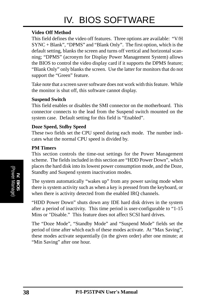#### **Video Off Method**

This field defines the video off features. Three options are available: "V/H SYNC + Blank", "DPMS" and "Blank Only". The first option, which is the default setting, blanks the screen and turns off vertical and horizontal scanning; "DPMS" (acronym for Display Power Management System) allows the BIOS to control the video display card if it supports the DPMS feature; "Blank Only" only blanks the screen. Use the latter for monitors that do not support the "Green" feature.

Take note that a screen saver software does not work with this feature. While the monitor is shut off, this software cannot display.

#### **Suspend Switch**

This field enables or disables the SMI connector on the motherboard. This connector connects to the lead from the Suspend switch mounted on the system case. Default setting for this field is "Enabled".

#### **Doze Speed, Stdby Speed**

These two fields set the CPU speed during each mode. The number indicates what the normal CPU speed is divided by.

#### **PM Timers**

This section controls the time-out settings for the Power Management scheme. The fields included in this section are "HDD Power Down", which places the hard disk into its lowest power consumption mode, and the Doze, Standby and Suspend system inactivation modes.

The system automatically "wakes up" from any power saving mode when there is system activity such as when a key is pressed from the keyboard, or when there is activity detected from the enabled IRQ channels.

"HDD Power Down" shuts down any IDE hard disk drives in the system after a period of inactivity. This time period is user-configurable to "1-15 Mins or "Disable." This feature does not affect SCSI hard drives.

The "Doze Mode", "Standby Mode" and "Suspend Mode" fields set the period of time after which each of these modes activate. At "Max Saving", these modes activate sequentially (in the given order) after one minute; at "Min Saving" after one hour.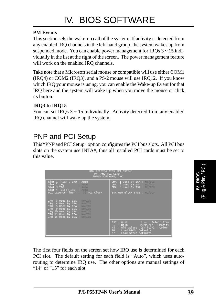#### **PM Events**

This section sets the wake-up call of the system. If activity is detected from any enabled IRQ channels in the left-hand group, the system wakes up from suspended mode. You can enable power management for IRQs  $3 \sim 15$  individually in the list at the right of the screen. The power management feature will work on the enabled IRO channels.

Take note that a Microsoft serial mouse or compatible will use either COM1 (IRQ4) or COM2 (IRQ3), and a PS/2 mouse will use IRQ12. If you know which IRQ your mouse is using, you can enable the Wake-up Event for that IRQ here and the system will wake up when you move the mouse or click its button.

#### **IRQ3 to IRQ15**

You can set IRQs  $3 \sim 15$  individually. Activity detected from any enabled IRQ channel will wake up the system.

## PNP and PCI Setup

This "PNP and PCI Setup" option configures the PCI bus slots. All PCI bus slots on the system use INTA#, thus all installed PCI cards must be set to this value.

| ROM PCI/ISA BIOS (PI-5XTP4)<br>PNP AND PCI SETUP<br>AWARD SOFTWARE, INC.                                                                                                                                                 |                                                                                                                                                                         |  |
|--------------------------------------------------------------------------------------------------------------------------------------------------------------------------------------------------------------------------|-------------------------------------------------------------------------------------------------------------------------------------------------------------------------|--|
| Slot 1 (RIGHT) IRQ : Auto<br>Slot 2 IRQ : Auto<br>Slot 3 IRQ : Auto<br>Slot 4 (LEFT) IRQ : Auto                                                                                                                          | 1 Used By ISA : No/ICU<br>DMA.<br>3 Used By ISA : No/ICU<br>DMA -<br>5 Used By ISA : No/ICU<br>DMA.                                                                     |  |
| PCI Latency Timer : 32 PCI Clock                                                                                                                                                                                         | ISA MEM Block BASE : No/ICU                                                                                                                                             |  |
| 3 Used By ISA : No/ICU<br>IRQ<br>4 Used By ISA : No/ICU<br>IRQ<br>IRQ 5 Used By ISA : No/ICUL<br>IRQ 9 Used By ISA : No/ICU<br>IRQ 10 Used By ISA : No/ICU<br>IRQ 11 Used By ISA : No/ICU<br>IRQ 15 Used By ISA : No/ICU |                                                                                                                                                                         |  |
|                                                                                                                                                                                                                          | ESC : Quit<br>11-- : Select Item<br>$F1$ : Help<br>$PU/PD/+/-$ : Modify<br>F5 : Old Values (Shift)F2 : Color<br>F6 : Load BIOS Defaults<br>FZ.<br>: Load Setup Defaults |  |

The first four fields on the screen set how IRQ use is determined for each PCI slot. The default setting for each field is "Auto", which uses autorouting to determine IRQ use. The other options are manual settings of "14" or "15" for each slot.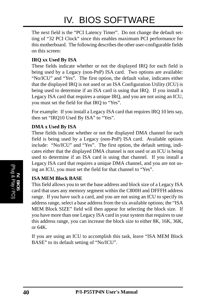The next field is the "PCI Latency Timer". Do not change the default setting of "32 PCI Clock" since this enables maximum PCI performance for this motherboard. The following describes the other user-configurable fields on this screen:

#### **IRQ xx Used By ISA**

These fields indicate whether or not the displayed IRQ for each field is being used by a Legacy (non-PnP) ISA card. Two options are available: "No/ICU" and "Yes". The first option, the default value, indicates either that the displayed IRQ is not used or an ISA Configuration Utility (ICU) is being used to determine if an ISA card is using that IRQ. If you install a Legacy ISA card that requires a unique IRQ, and you are not using an ICU, you must set the field for that IRQ to "Yes".

For example: If you install a Legacy ISA card that requires IRQ 10 lets say, then set "IRQ10 Used By ISA" to "Yes".

#### **DMA x Used By ISA**

These fields indicate whether or not the displayed DMA channel for each field is being used by a Legacy (non-PnP) ISA card. Available options include: "No/ICU" and "Yes". The first option, the default setting, indicates either that the displayed DMA channel is not used or an ICU is being used to determine if an ISA card is using that channel. If you install a Legacy ISA card that requires a unique DMA channel, and you are not using an ICU, you must set the field for that channel to "Yes".

#### **ISA MEM Block BASE**

This field allows you to set the base address and block size of a Legacy ISA card that uses any memory segment within the C800H and DFFFH address range. If you have such a card, and you are not using an ICU to specify its address range, select a base address from the six available options; the "ISA MEM Block SIZE" field will then appear for selecting the block size. If you have more than one Legacy ISA card in your system that requires to use this address range, you can increase the block size to either 8K, 16K, 36K, or 64K.

If you are using an ICU to accomplish this task, leave "ISA MEM Block BASE" to its default setting of "No/ICU".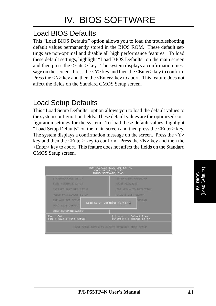## Load BIOS Defaults

This "Load BIOS Defaults" option allows you to load the troubleshooting default values permanently stored in the BIOS ROM. These default settings are non-optimal and disable all high performance features. To load these default settings, highlight "Load BIOS Defaults" on the main screen and then press the <Enter> key. The system displays a confirmation message on the screen. Press the  $\langle Y \rangle$  key and then the  $\langle$ Enter $\rangle$  key to confirm. Press the  $\langle N \rangle$  key and then the  $\langle$ Enter $\rangle$  key to abort. This feature does not affect the fields on the Standard CMOS Setup screen.

## Load Setup Defaults

This "Load Setup Defaults" option allows you to load the default values to the system configuration fields. These default values are the optimized configuration settings for the system. To load these default values, highlight "Load Setup Defaults" on the main screen and then press the <Enter> key. The system displays a confirmation message on the screen. Press the  $<\mathbf{Y}>$ key and then the  $\leq$ Enter $>$  key to confirm. Press the  $\leq N$  $>$  key and then the <Enter> key to abort. This feature does not affect the fields on the Standard CMOS Setup screen.

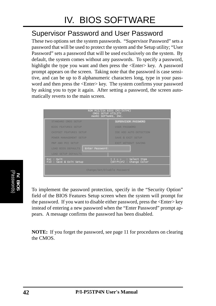## Supervisor Password and User Password

These two options set the system passwords. "Supervisor Password" sets a password that will be used to protect the system and the Setup utility; "User Password" sets a password that will be used exclusively on the system. By default, the system comes without any passwords. To specify a password, highlight the type you want and then press the  $\leq$ Enter $\geq$  key. A password prompt appears on the screen. Taking note that the password is case sensitive, and can be up to 8 alphanumeric characters long, type in your password and then press the <Enter> key. The system confirms your password by asking you to type it again. After setting a password, the screen automatically reverts to the main screen.

| ROM PCI/ISA BIOS (PI-5XTP4)<br>CMOS SETUP UTILITY<br>AWARD SOFTWARE, INC. |                                                 |  |  |  |  |
|---------------------------------------------------------------------------|-------------------------------------------------|--|--|--|--|
| SUPERVISOR PASSWORD<br>STANDARD CMOS SETUP                                |                                                 |  |  |  |  |
| <b>BIOS FEATURES SETUP</b>                                                | <b>USER PASSWORD</b>                            |  |  |  |  |
| <b>CHIPSET FEATURES SETUP</b>                                             | IDE HDD AUTO DETECTION                          |  |  |  |  |
| POWER MANAGEMENT SETUP                                                    | SAVE & EXIT SETUP                               |  |  |  |  |
| PNP AND PCI SETUP                                                         | <b>EXIT WITHOUT SAVING</b>                      |  |  |  |  |
| Enter Password:<br>LOAD BIOS DEFAULTS                                     |                                                 |  |  |  |  |
| <b>LOAD SETUP DEFAULTS</b>                                                |                                                 |  |  |  |  |
| Esc : Quit<br>F10 : Save & Exit Setup                                     | l - - : Select Item<br>(Shift)F2 : Change Color |  |  |  |  |
| Change/Set/Disable Password                                               |                                                 |  |  |  |  |

**IV. BIOS** (Passwords)

To implement the password protection, specify in the "Security Option" field of the BIOS Features Setup screen when the system will prompt for the password. If you want to disable either password, press the <Enter> key instead of entering a new password when the "Enter Password" prompt appears. A message confirms the password has been disabled.

**NOTE:** If you forget the password, see page 11 for procedures on clearing the CMOS.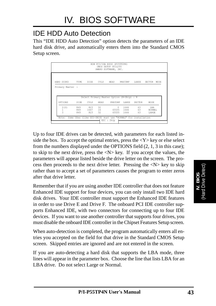## IDE HDD Auto Detection

This "IDE HDD Auto Detection" option detects the parameters of an IDE hard disk drive, and automatically enters them into the Standard CMOS Setup screen.

|                       |     |                               |          | ROM PCI/ISA BIOS (PI55T2P4)<br>CMOS SETUP UTILITY<br>AWARD SOFTWARE, INC. |                                                    |        |                         |
|-----------------------|-----|-------------------------------|----------|---------------------------------------------------------------------------|----------------------------------------------------|--------|-------------------------|
| HARD DISKS            |     | TYPE SIZE                     |          | CYLS HEAD                                                                 | PRECOMP                                            | LANDZ  | SECTOR MODE             |
| Primary Master :      |     |                               |          |                                                                           |                                                    |        |                         |
|                       |     |                               |          |                                                                           |                                                    |        |                         |
|                       |     |                               |          |                                                                           |                                                    |        |                         |
| OPTIONS               |     | SIZE CYLS HEAD                |          | Select Primary Master Option (N=Skip) : N                                 | PRECOMP LANDZ                                      | SECTOR | MODE                    |
| 2(Y)<br>$\frac{1}{3}$ | 849 | 849 823<br>849 1647 16<br>823 | 32<br>32 |                                                                           | $\Omega$<br>1646<br>65535 1646 63<br>65535 1646 63 | 63     | LBA<br>NORMAI.<br>LARGE |

Up to four IDE drives can be detected, with parameters for each listed inside the box. To accept the optimal entries, press the  $\langle Y \rangle$  key or else select from the numbers displayed under the OPTIONS field (2, 1, 3 in this case); to skip to the next drive, press the <N> key. If you accept the values, the parameters will appear listed beside the drive letter on the screen. The process then proceeds to the next drive letter. Pressing the  $\langle N \rangle$  key to skip rather than to accept a set of parameters causes the program to enter zeros after that drive letter.

Remember that if you are using another IDE controller that does not feature Enhanced IDE support for four devices, you can only install two IDE hard disk drives. Your IDE controller must support the Enhanced IDE features in order to use Drive E and Drive F. The onboard PCI IDE controller supports Enhanced IDE, with two connectors for connecting up to four IDE devices. If you want to use another controller that supports four drives, you must disable the onboard IDE controller in the Chipset Features Setup screen.

When auto-detection is completed, the program automatically enters all entries you accepted on the field for that drive in the Standard CMOS Setup screen. Skipped entries are ignored and are not entered in the screen.

If you are auto-detecting a hard disk that supports the LBA mode, three lines will appear in the parameter box. Choose the line that lists LBA for an LBA drive. Do not select Large or Normal.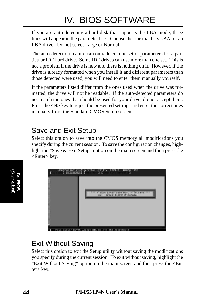If you are auto-detecting a hard disk that supports the LBA mode, three lines will appear in the parameter box. Choose the line that lists LBA for an LBA drive. Do not select Large or Normal.

The auto-detection feature can only detect one set of parameters for a particular IDE hard drive. Some IDE drives can use more than one set. This is not a problem if the drive is new and there is nothing on it. However, if the drive is already formatted when you install it and different parameters than those detected were used, you will need to enter them manually yourself.

If the parameters listed differ from the ones used when the drive was formatted, the drive will not be readable. If the auto-detected parameters do not match the ones that should be used for your drive, do not accept them. Press the  $\langle N \rangle$  key to reject the presented settings and enter the correct ones manually from the Standard CMOS Setup screen.

## Save and Exit Setup

Select this option to save into the CMOS memory all modifications you specify during the current session. To save the configuration changes, highlight the "Save & Exit Setup" option on the main screen and then press the <Enter> key.



## Exit Without Saving

Select this option to exit the Setup utility without saving the modifications you specify during the current session. To exit without saving, highlight the "Exit Without Saving" option on the main screen and then press the <Enter> key.

**IV. BIOS** (Save & Exit)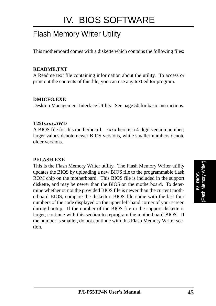## Flash Memory Writer Utility

This motherboard comes with a diskette which contains the following files:

#### **README.TXT**

A Readme text file containing information about the utility. To access or print out the contents of this file, you can use any text editor program.

#### **DMICFG.EXE**

Desktop Management Interface Utility. See page 50 for basic instructions.

#### **T25Ixxxx.AWD**

A BIOS file for this motherboard. xxxx here is a 4-digit version number; larger values denote newer BIOS versions, while smaller numbers denote older versions.

#### **PFLASH.EXE**

This is the Flash Memory Writer utility. The Flash Memory Writer utility updates the BIOS by uploading a new BIOS file to the programmable flash ROM chip on the motherboard. This BIOS file is included in the support diskette, and may be newer than the BIOS on the motherboard. To determine whether or not the provided BIOS file is newer than the current motherboard BIOS, compare the diskette's BIOS file name with the last four numbers of the code displayed on the upper left-hand corner of your screen during bootup. If the number of the BIOS file in the support diskette is larger, continue with this section to reprogram the motherboard BIOS. If the number is smaller, do not continue with this Flash Memory Writer section.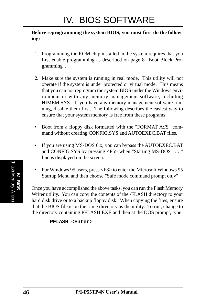#### **Before reprogramming the system BIOS, you must first do the following:**

- 1. Programming the ROM chip installed in the system requires that you first enable programming as described on page 8 "Boot Block Programming".
- 2. Make sure the system is running in real mode. This utility will not operate if the system is under protected or virtual mode. This means that you can not reprogram the system BIOS under the Windows environment or with any memory management software, including HIMEM.SYS. If you have any memory management software running, disable them first. The following describes the easiest way to ensure that your system memory is free from these programs:
- Boot from a floppy disk formatted with the "FORMAT A:/S" command without creating CONFIG.SYS and AUTOEXEC.BAT files.
- If you are using MS-DOS 6.x, you can bypass the AUTOEXEC.BAT and CONFIG.SYS by pressing  $\langle F5 \rangle$  when "Starting MS-DOS ..." line is displayed on the screen.
- For Windows 95 users, press <F8> to enter the Microsoft Windows 95 Startup Menu and then choose "Safe mode command prompt only"

Once you have accomplished the above tasks, you can run the Flash Memory Writer utility. You can copy the contents of the \FLASH directory to your hard disk drive or to a backup floppy disk. When copying the files, ensure that the BIOS file is on the same directory as the utility. To run, change to the directory containing PFLASH.EXE and then at the DOS prompt, type:

```
PFLASH <Enter>
```
**IV. BIOS**<br>(Flash Memory Writer (Flash Memory Writer)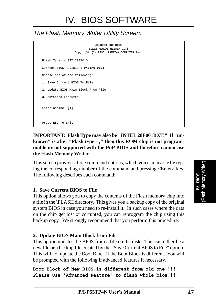### The Flash Memory Writer Utility Screen:

**ASUSTeK PNP BIOS FLASH MEMORY WRITER V1.3 Copyright (C) 1995, ASUSTeK COMPUTER Inc.** Flash Type -- SST 29EE010 Current BIOS Revision: **#401A0-0101** Choose one of the following: **1.** Save Current BIOS To File **2.** Update BIOS Main Block From File **3.** Advanced Features Enter Choice: [1] Press **ESC** To Exit

#### **IMPORTANT: Flash Type may also be "INTEL 28F001BXT." If "unknown" is after "Flash type --," then this ROM chip is not programmable or not supported with the PnP BIOS and therefore cannot use the Flash Memory Writer.**

This screen provides three command options, which you can invoke by typing the corresponding number of the command and pressing <Enter> key. The following describes each command:

#### **1. Save Current BIOS to File**

This option allows you to copy the contents of the Flash memory chip into a file in the \FLASH directory. This gives you a backup copy of the original system BIOS in case you need to re-install it. In such cases where the data on the chip get lost or corrupted, you can reprogram the chip using this backup copy. We strongly recommend that you perform this procedure.

#### **2. Update BIOS Main Block from File**

This option updates the BIOS from a file on the disk. This can either be a new file or a backup file created by the "Save Current BIOS to File" option. This will not update the Boot Block if the Boot Block is different. You will be prompted with the following if advanced features if necessary.

```
Boot Block of New BIOS is different from old one !!!
Please Use 'Advanced Feature' to flash whole bios !!!
```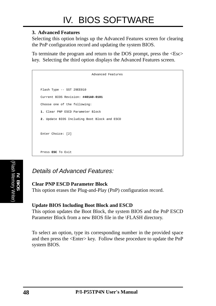#### **3. Advanced Features**

Selecting this option brings up the Advanced Features screen for clearing the PnP configuration record and updating the system BIOS.

To terminate the program and return to the DOS prompt, press the <Esc> key. Selecting the third option displays the Advanced Features screen.

| Advanced Features                            |
|----------------------------------------------|
|                                              |
| Flash Type -- SST 29EE010                    |
| Current BIOS Revision: #401A0-0101           |
| Choose one of the following:                 |
| 1. Clear PNP ESCD Parameter Block            |
| 2. Update BIOS Including Boot Block and ESCD |
|                                              |
| Enter Choice: [2]                            |
|                                              |
| Press ESC To Exit                            |
|                                              |

### Details of Advanced Features:

#### **Clear PNP ESCD Parameter Block**

This option erases the Plug-and-Play (PnP) configuration record.

#### **Update BIOS Including Boot Block and ESCD**

This option updates the Boot Block, the system BIOS and the PnP ESCD Parameter Block from a new BIOS file in the \FLASH directory.

To select an option, type its corresponding number in the provided space and then press the <Enter> key. Follow these procedure to update the PnP system BIOS.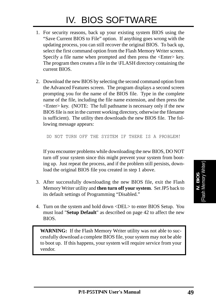- 1. For security reasons, back up your existing system BIOS using the "Save Current BIOS to File" option. If anything goes wrong with the updating process, you can still recover the original BIOS. To back up, select the first command option from the Flash Memory Writer screen. Specify a file name when prompted and then press the <Enter> key. The program then creates a file in the \FLASH directory containing the current BIOS.
- 2. Download the new BIOS by selecting the second command option from the Advanced Features screen. The program displays a second screen prompting you for the name of the BIOS file. Type in the complete name of the file, including the file name extension, and then press the  $\leq$ Enter $\geq$  key. (NOTE: The full pathname is necessary only if the new BIOS file is not in the current working directory, otherwise the filename is sufficient). The utility then downloads the new BIOS file. The following message appears:

DO NOT TURN OFF THE SYSTEM IF THERE IS A PROBLEM!

If you encounter problems while downloading the new BIOS, DO NOT turn off your system since this might prevent your system from booting up. Just repeat the process, and if the problem still persists, download the original BIOS file you created in step 1 above.

- 3. After successfully downloading the new BIOS file, exit the Flash Memory Writer utility and **then turn off your system**. Set JP5 back to its default settings of Programming "Disabled."
- 4. Turn on the system and hold down <DEL> to enter BIOS Setup. You must load "**Setup Default**" as described on page 42 to affect the new BIOS.

**WARNING:** If the Flash Memory Writer utility was not able to successfully download a complete BIOS file, your system may not be able to boot up. If this happens, your system will require service from your vendor.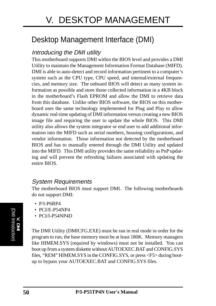# Desktop Management Interface (DMI)

### Introducing the DMI utility

This motherboard supports DMI within the BIOS level and provides a DMI Utility to maintain the Management Information Format Database (MIFD). DMI is able to auto-detect and record information pertinent to a computer's system such as the CPU type, CPU speed, and internal/external frequencies, and memory size. The onboard BIOS will detect as many system information as possible and store those collected information in a 4KB block in the motherboard's Flash EPROM and allow the DMI to retrieve data from this database. Unlike other BIOS software, the BIOS on this motherboard uses the same technology implemented for Plug and Play to allow dynamic real-time updating of DMI information versus creating a new BIOS image file and requiring the user to update the whole BIOS. This DMI utility also allows the system integrator or end user to add additional information into the MIFD such as serial numbers, housing configurations, and vendor information. Those information not detected by the motherboard BIOS and has to manually entered through the DMI Utility and updated into the MIFD. This DMI utility provides the same reliability as PnP updating and will prevent the refreshing failures associated with updating the entire BIOS.

### System Requirements

The motherboard BIOS must support DMI. The following motherboards do not support DMI:

- P/I-P6RP4
- PCI/E-P54NP4
- PCI/I-P54NP4D

The DMI Utility (DMICFG.EXE) must be ran in real mode in order for the program to run, the base memory must be at least 180K. Memory managers like HIMEM.SYS (required by windows) must not be installed. You can boot up from a system diskette without AUTOEXEC.BAT and CONFIG.SYS files, "REM" HIMEM.SYS in the CONFIG.SYS, or press <F5> during bootup to bypass your AUTOEXEC.BAT and CONFIG.SYS files.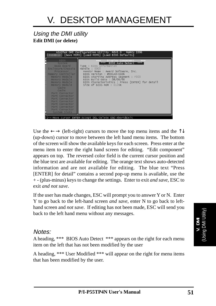### Using the DMI utility **Edit DMI (or delete)**

|                                                                                                                                                                                                                                                                                                                                                                                                                                                                                                                                                                               | ASUSTeK DMI Configuration Utility REV1.0 MARCH 1996<br>[Edit DMM] [Save MIFD] [Load MIFD] [Load BIOS Defaults]                                                                                                                                                                                                                                                  |
|-------------------------------------------------------------------------------------------------------------------------------------------------------------------------------------------------------------------------------------------------------------------------------------------------------------------------------------------------------------------------------------------------------------------------------------------------------------------------------------------------------------------------------------------------------------------------------|-----------------------------------------------------------------------------------------------------------------------------------------------------------------------------------------------------------------------------------------------------------------------------------------------------------------------------------------------------------------|
| <b>BIOS</b><br>System<br>$\blacksquare$ . The contract of the contract of the contract of the contract of the contract of the contract of the contract of the contract of the contract of the contract of the contract of the contract of the contract of the<br>Base Board<br>Enclosure/Chassis<br>Processor<br>Memory Controller<br>Memory Module<br>Memory Module<br>Memory Module<br>Memory Module<br><b>Cache</b><br>Cache<br>Port Connector<br>Port Connector<br>Port Connector<br>Port Connector<br>Port Connector<br>Port Connector<br>Port Connector<br>System Slots | Display Component<br><b>Contract Contract</b><br>lees to<br>BIOS Auto Detect ***<br>ne ne ne<br>Type : BIOS Information<br>Handle: 0000<br>Vendor Name : Award Software, Inc.<br>BIOS Version : #401A0-0106<br>BIOS starting Address Segment : F000<br>BIOS Build Date: 08/06/96<br>BIOS Characteristics : Press [ENTER] for detail<br>Size of BIOS ROM : 0128K |
|                                                                                                                                                                                                                                                                                                                                                                                                                                                                                                                                                                               | -→-Move cursor ENTER-Accept DEL-Delete ESC-Abort&Exit                                                                                                                                                                                                                                                                                                           |

Use the  $\leftarrow \rightarrow$  (left-right) cursors to move the top menu items and the  $\uparrow \downarrow$ (up-down) cursor to move between the left hand menu items. The bottom of the screen will show the available keys for each screen. Press enter at the menu item to enter the right hand screen for editing. "Edit component" appears on top. The reversed color field is the current cursor position and the blue text are available for editing. The orange text shows auto-detected information and are not available for editing. The blue text "Press [ENTER] for detail" contains a second pop-up menu is available, use the + - (plus-minus) keys to change the settings. Enter to exit *and save*, ESC to exit *and not save*.

If the user has made changes, ESC will prompt you to answer Y or N. Enter Y to go back to the left-hand screen *and save*, enter N to go back to lefthand screen and *not save*. If editing has not been made, ESC will send you back to the left hand menu without any messages.

#### Notes:

A heading, \*\*\* BIOS Auto Detect \*\*\* appears on the right for each menu item on the left that has not been modified by the user

A heading, \*\*\* User Modified \*\*\* will appear on the right for menu items that has been modified by the user.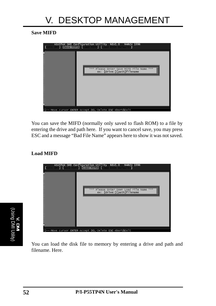**Save MIFD**



You can save the MIFD (normally only saved to flash ROM) to a file by entering the drive and path here. If you want to cancel save, you may press ESC and a message "Bad File Name" appears here to show it was not saved.

#### **Load MIFD**



You can load the disk file to memory by entering a drive and path and filename. Here.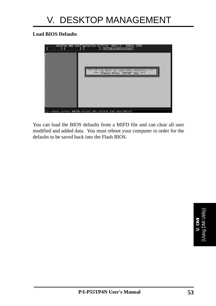#### **Load BIOS Defaults**



You can load the BIOS defaults from a MIFD file and can clear all user modified and added data. You must reboot your computer in order for the defaults to be saved back into the Flash BIOS.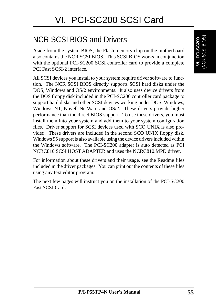# NCR SCSI BIOS and Drivers

Aside from the system BIOS, the Flash memory chip on the motherboard also contains the NCR SCSI BIOS. This SCSI BIOS works in conjunction with the optional PCI-SC200 SCSI controller card to provide a complete PCI Fast SCSI-2 interface.

All SCSI devices you install to your system require driver software to function. The NCR SCSI BIOS directly supports SCSI hard disks under the DOS, Windows and OS/2 environments. It also uses device drivers from the DOS floppy disk included in the PCI-SC200 controller card package to support hard disks and other SCSI devices working under DOS, Windows, Windows NT, Novell NetWare and OS/2. These drivers provide higher performance than the direct BIOS support. To use these drivers, you must install them into your system and add them to your system configuration files. Driver support for SCSI devices used with SCO UNIX is also provided. These drivers are included in the second SCO UNIX floppy disk. Windows 95 support is also available using the device drivers included within the Windows software. The PCI-SC200 adapter is auto detected as PCI NCRC810 SCSI HOST ADAPTER and uses the NCRC810.MPD driver.

For information about these drivers and their usage, see the Readme files included in the driver packages. You can print out the contents of these files using any text editor program.

The next few pages will instruct you on the installation of the PCI-SC200 Fast SCSI Card.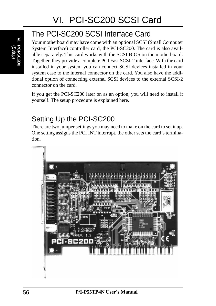# The PCI-SC200 SCSI Interface Card

Your motherboard may have come with an optional SCSI (Small Computer System Interface) controller card, the PCI-SC200. The card is also available separately. This card works with the SCSI BIOS on the motherboard. Together, they provide a complete PCI Fast SCSI-2 interface. With the card installed in your system you can connect SCSI devices installed in your system case to the internal connector on the card. You also have the additional option of connecting external SCSI devices to the external SCSI-2 connector on the card.

If you get the PCI-SC200 later on as an option, you will need to install it yourself. The setup procedure is explained here.

## Setting Up the PCI-SC200

There are two jumper settings you may need to make on the card to set it up. One setting assigns the PCI INT interrupt, the other sets the card's termination.

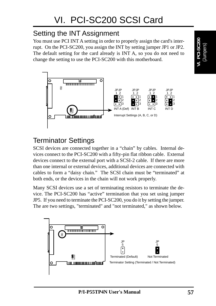## Setting the INT Assignment

You must use PCI INT A setting in order to properly assign the card's interrupt. On the PCI-SC200, you assign the INT by setting jumper JP1 or JP2. The default setting for the card already is INT A, so you do not need to change the setting to use the PCI-SC200 with this motherboard.



## Terminator Settings

SCSI devices are connected together in a "chain" by cables. Internal devices connect to the PCI-SC200 with a fifty-pin flat ribbon cable. External devices connect to the external port with a SCSI-2 cable. If there are more than one internal or external devices, additional devices are connected with cables to form a "daisy chain." The SCSI chain must be "terminated" at both ends, or the devices in the chain will not work properly.

Many SCSI devices use a set of terminating resistors to terminate the device. The PCI-SC200 has "active" termination that you set using jumper JP5. If you need to terminate the PCI-SC200, you do it by setting the jumper. The are two settings, "terminated" and "not terminated," as shown below.